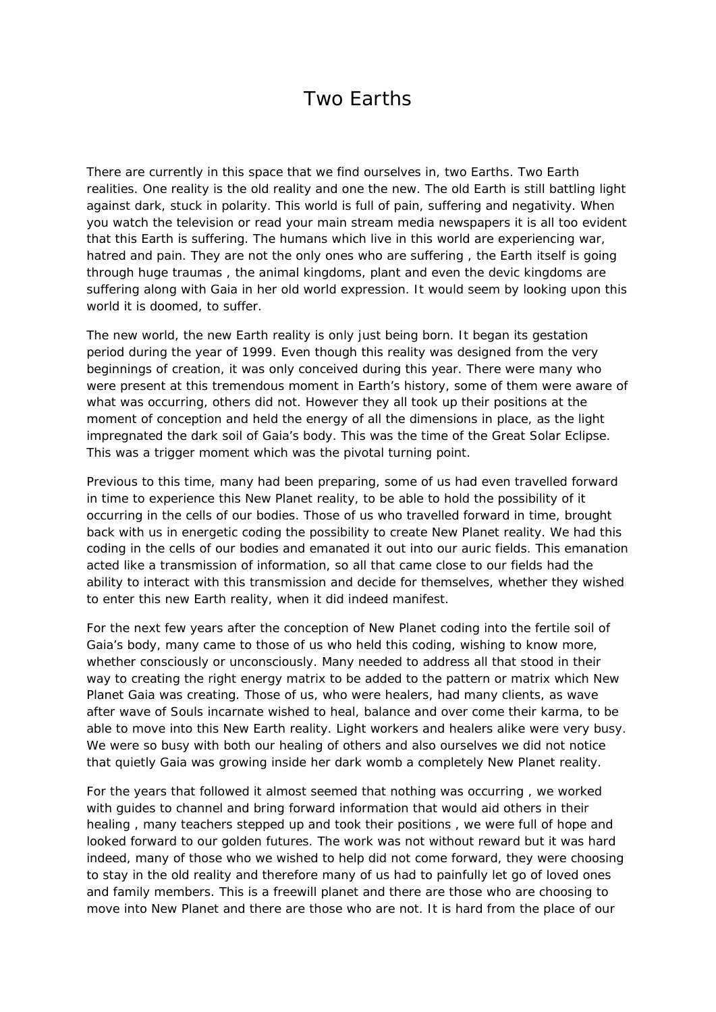## Two Earths

There are currently in this space that we find ourselves in, two Earths. Two Earth realities. One reality is the old reality and one the new. The old Earth is still battling light against dark, stuck in polarity. This world is full of pain, suffering and negativity. When you watch the television or read your main stream media newspapers it is all too evident that this Earth is suffering. The humans which live in this world are experiencing war, hatred and pain. They are not the only ones who are suffering , the Earth itself is going through huge traumas , the animal kingdoms, plant and even the devic kingdoms are suffering along with Gaia in her old world expression. It would seem by looking upon this world it is doomed, to suffer.

The new world, the new Earth reality is only just being born. It began its gestation period during the year of 1999. Even though this reality was designed from the very beginnings of creation, it was only conceived during this year. There were many who were present at this tremendous moment in Earth's history, some of them were aware of what was occurring, others did not. However they all took up their positions at the moment of conception and held the energy of all the dimensions in place, as the light impregnated the dark soil of Gaia's body. This was the time of the Great Solar Eclipse. This was a trigger moment which was the pivotal turning point.

Previous to this time, many had been preparing, some of us had even travelled forward in time to experience this New Planet reality, to be able to hold the possibility of it occurring in the cells of our bodies. Those of us who travelled forward in time, brought back with us in energetic coding the possibility to create New Planet reality. We had this coding in the cells of our bodies and emanated it out into our auric fields. This emanation acted like a transmission of information, so all that came close to our fields had the ability to interact with this transmission and decide for themselves, whether they wished to enter this new Earth reality, when it did indeed manifest.

For the next few years after the conception of New Planet coding into the fertile soil of Gaia's body, many came to those of us who held this coding, wishing to know more, whether consciously or unconsciously. Many needed to address all that stood in their way to creating the right energy matrix to be added to the pattern or matrix which New Planet Gaia was creating. Those of us, who were healers, had many clients, as wave after wave of Souls incarnate wished to heal, balance and over come their karma, to be able to move into this New Earth reality. Light workers and healers alike were very busy. We were so busy with both our healing of others and also ourselves we did not notice that quietly Gaia was growing inside her dark womb a completely New Planet reality.

For the years that followed it almost seemed that nothing was occurring , we worked with guides to channel and bring forward information that would aid others in their healing , many teachers stepped up and took their positions , we were full of hope and looked forward to our golden futures. The work was not without reward but it was hard indeed, many of those who we wished to help did not come forward, they were choosing to stay in the old reality and therefore many of us had to painfully let go of loved ones and family members. This is a freewill planet and there are those who are choosing to move into New Planet and there are those who are not. It is hard from the place of our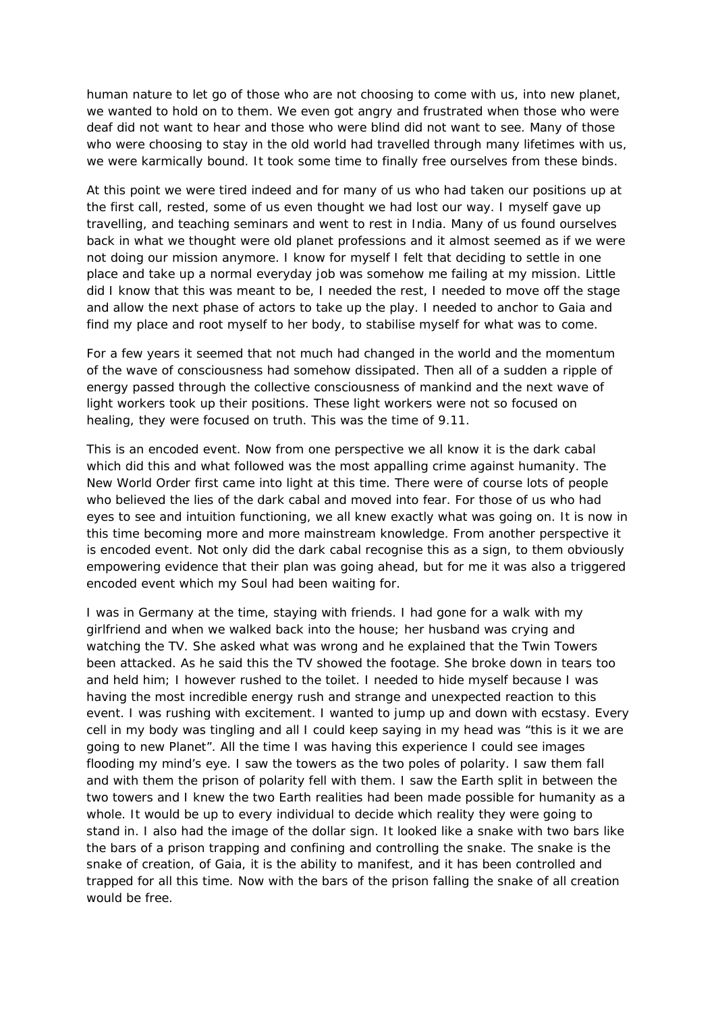human nature to let go of those who are not choosing to come with us, into new planet, we wanted to hold on to them. We even got angry and frustrated when those who were deaf did not want to hear and those who were blind did not want to see. Many of those who were choosing to stay in the old world had travelled through many lifetimes with us, we were karmically bound. It took some time to finally free ourselves from these binds.

At this point we were tired indeed and for many of us who had taken our positions up at the first call, rested, some of us even thought we had lost our way. I myself gave up travelling, and teaching seminars and went to rest in India. Many of us found ourselves back in what we thought were old planet professions and it almost seemed as if we were not doing our mission anymore. I know for myself I felt that deciding to settle in one place and take up a normal everyday job was somehow me failing at my mission. Little did I know that this was meant to be, I needed the rest, I needed to move off the stage and allow the next phase of actors to take up the play. I needed to anchor to Gaia and find my place and root myself to her body, to stabilise myself for what was to come.

For a few years it seemed that not much had changed in the world and the momentum of the wave of consciousness had somehow dissipated. Then all of a sudden a ripple of energy passed through the collective consciousness of mankind and the next wave of light workers took up their positions. These light workers were not so focused on healing, they were focused on truth. This was the time of 9.11.

This is an encoded event. Now from one perspective we all know it is the dark cabal which did this and what followed was the most appalling crime against humanity. The New World Order first came into light at this time. There were of course lots of people who believed the lies of the dark cabal and moved into fear. For those of us who had eyes to see and intuition functioning, we all knew exactly what was going on. It is now in this time becoming more and more mainstream knowledge. From another perspective it is encoded event. Not only did the dark cabal recognise this as a sign, to them obviously empowering evidence that their plan was going ahead, but for me it was also a triggered encoded event which my Soul had been waiting for.

I was in Germany at the time, staying with friends. I had gone for a walk with my girlfriend and when we walked back into the house; her husband was crying and watching the TV. She asked what was wrong and he explained that the Twin Towers been attacked. As he said this the TV showed the footage. She broke down in tears too and held him; I however rushed to the toilet. I needed to hide myself because I was having the most incredible energy rush and strange and unexpected reaction to this event. I was rushing with excitement. I wanted to jump up and down with ecstasy. Every cell in my body was tingling and all I could keep saying in my head was "this is it we are going to new Planet". All the time I was having this experience I could see images flooding my mind's eye. I saw the towers as the two poles of polarity. I saw them fall and with them the prison of polarity fell with them. I saw the Earth split in between the two towers and I knew the two Earth realities had been made possible for humanity as a whole. It would be up to every individual to decide which reality they were going to stand in. I also had the image of the dollar sign. It looked like a snake with two bars like the bars of a prison trapping and confining and controlling the snake. The snake is the snake of creation, of Gaia, it is the ability to manifest, and it has been controlled and trapped for all this time. Now with the bars of the prison falling the snake of all creation would be free.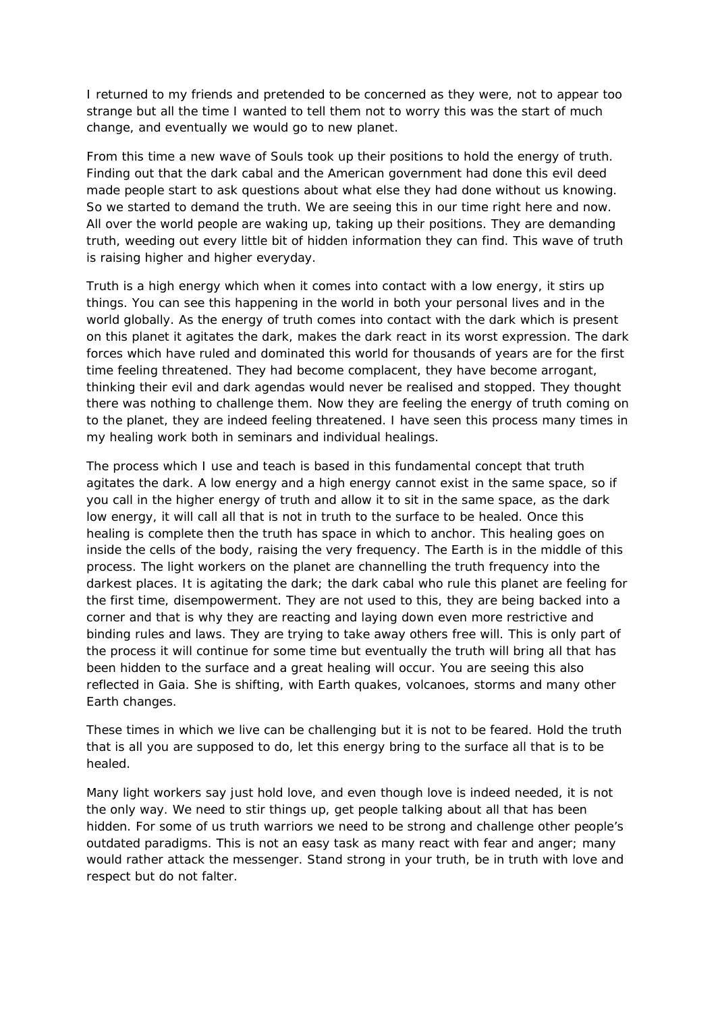I returned to my friends and pretended to be concerned as they were, not to appear too strange but all the time I wanted to tell them not to worry this was the start of much change, and eventually we would go to new planet.

From this time a new wave of Souls took up their positions to hold the energy of truth. Finding out that the dark cabal and the American government had done this evil deed made people start to ask questions about what else they had done without us knowing. So we started to demand the truth. We are seeing this in our time right here and now. All over the world people are waking up, taking up their positions. They are demanding truth, weeding out every little bit of hidden information they can find. This wave of truth is raising higher and higher everyday.

Truth is a high energy which when it comes into contact with a low energy, it stirs up things. You can see this happening in the world in both your personal lives and in the world globally. As the energy of truth comes into contact with the dark which is present on this planet it agitates the dark, makes the dark react in its worst expression. The dark forces which have ruled and dominated this world for thousands of years are for the first time feeling threatened. They had become complacent, they have become arrogant, thinking their evil and dark agendas would never be realised and stopped. They thought there was nothing to challenge them. Now they are feeling the energy of truth coming on to the planet, they are indeed feeling threatened. I have seen this process many times in my healing work both in seminars and individual healings.

The process which I use and teach is based in this fundamental concept that truth agitates the dark. A low energy and a high energy cannot exist in the same space, so if you call in the higher energy of truth and allow it to sit in the same space, as the dark low energy, it will call all that is not in truth to the surface to be healed. Once this healing is complete then the truth has space in which to anchor. This healing goes on inside the cells of the body, raising the very frequency. The Earth is in the middle of this process. The light workers on the planet are channelling the truth frequency into the darkest places. It is agitating the dark; the dark cabal who rule this planet are feeling for the first time, disempowerment. They are not used to this, they are being backed into a corner and that is why they are reacting and laying down even more restrictive and binding rules and laws. They are trying to take away others free will. This is only part of the process it will continue for some time but eventually the truth will bring all that has been hidden to the surface and a great healing will occur. You are seeing this also reflected in Gaia. She is shifting, with Earth quakes, volcanoes, storms and many other Earth changes.

These times in which we live can be challenging but it is not to be feared. Hold the truth that is all you are supposed to do, let this energy bring to the surface all that is to be healed.

Many light workers say just hold love, and even though love is indeed needed, it is not the only way. We need to stir things up, get people talking about all that has been hidden. For some of us truth warriors we need to be strong and challenge other people's outdated paradigms. This is not an easy task as many react with fear and anger; many would rather attack the messenger. Stand strong in your truth, be in truth with love and respect but do not falter.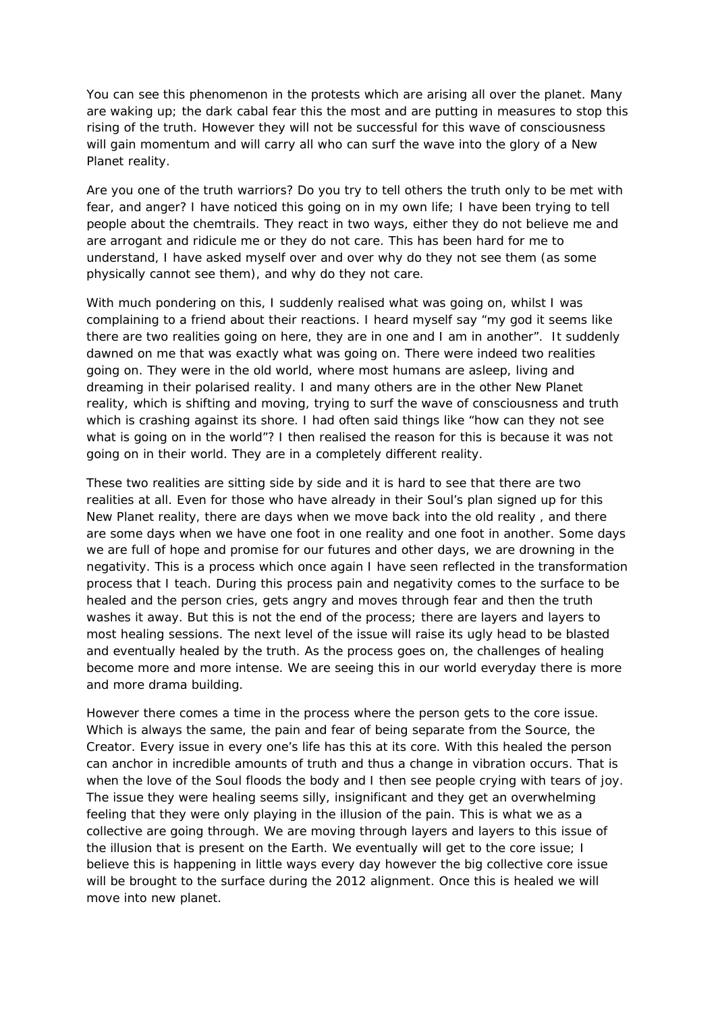You can see this phenomenon in the protests which are arising all over the planet. Many are waking up; the dark cabal fear this the most and are putting in measures to stop this rising of the truth. However they will not be successful for this wave of consciousness will gain momentum and will carry all who can surf the wave into the glory of a New Planet reality.

Are you one of the truth warriors? Do you try to tell others the truth only to be met with fear, and anger? I have noticed this going on in my own life; I have been trying to tell people about the chemtrails. They react in two ways, either they do not believe me and are arrogant and ridicule me or they do not care. This has been hard for me to understand, I have asked myself over and over why do they not see them (as some physically cannot see them), and why do they not care.

With much pondering on this, I suddenly realised what was going on, whilst I was complaining to a friend about their reactions. I heard myself say "my god it seems like there are two realities going on here, they are in one and I am in another". It suddenly dawned on me that was exactly what was going on. There were indeed two realities going on. They were in the old world, where most humans are asleep, living and dreaming in their polarised reality. I and many others are in the other New Planet reality, which is shifting and moving, trying to surf the wave of consciousness and truth which is crashing against its shore. I had often said things like "how can they not see what is going on in the world"? I then realised the reason for this is because it was not going on in their world. They are in a completely different reality.

These two realities are sitting side by side and it is hard to see that there are two realities at all. Even for those who have already in their Soul's plan signed up for this New Planet reality, there are days when we move back into the old reality , and there are some days when we have one foot in one reality and one foot in another. Some days we are full of hope and promise for our futures and other days, we are drowning in the negativity. This is a process which once again I have seen reflected in the transformation process that I teach. During this process pain and negativity comes to the surface to be healed and the person cries, gets angry and moves through fear and then the truth washes it away. But this is not the end of the process; there are layers and layers to most healing sessions. The next level of the issue will raise its ugly head to be blasted and eventually healed by the truth. As the process goes on, the challenges of healing become more and more intense. We are seeing this in our world everyday there is more and more drama building.

However there comes a time in the process where the person gets to the core issue. Which is always the same, the pain and fear of being separate from the Source, the Creator. Every issue in every one's life has this at its core. With this healed the person can anchor in incredible amounts of truth and thus a change in vibration occurs. That is when the love of the Soul floods the body and I then see people crying with tears of joy. The issue they were healing seems silly, insignificant and they get an overwhelming feeling that they were only playing in the illusion of the pain. This is what we as a collective are going through. We are moving through layers and layers to this issue of the illusion that is present on the Earth. We eventually will get to the core issue; I believe this is happening in little ways every day however the big collective core issue will be brought to the surface during the 2012 alignment. Once this is healed we will move into new planet.